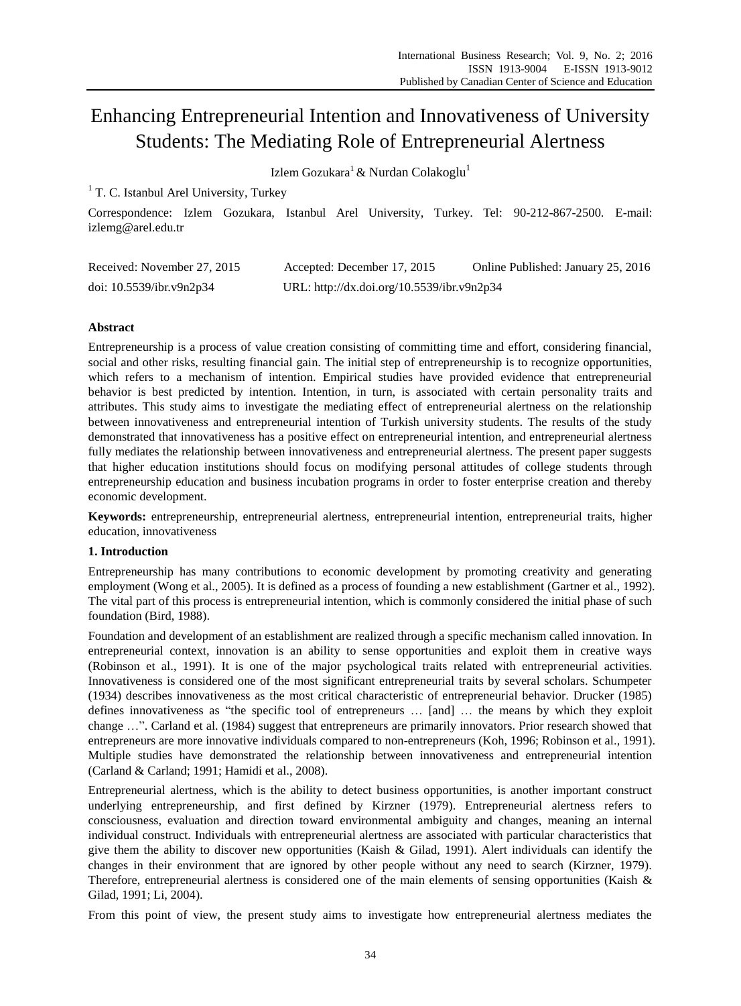# Enhancing Entrepreneurial Intention and Innovativeness of University Students: The Mediating Role of Entrepreneurial Alertness

Izlem Gozukara<sup>1</sup> & Nurdan Colakoglu<sup>1</sup>

 $1$  T. C. Istanbul Arel University, Turkey

Correspondence: Izlem Gozukara, Istanbul Arel University, Turkey. Tel: 90-212-867-2500. E-mail: izlemg@arel.edu.tr

| Received: November 27, 2015 | Accepted: December 17, 2015                | Online Published: January 25, 2016 |
|-----------------------------|--------------------------------------------|------------------------------------|
| doi: 10.5539/ibr.v9n2p34    | URL: http://dx.doi.org/10.5539/ibr.v9n2p34 |                                    |

# **Abstract**

Entrepreneurship is a process of value creation consisting of committing time and effort, considering financial, social and other risks, resulting financial gain. The initial step of entrepreneurship is to recognize opportunities, which refers to a mechanism of intention. Empirical studies have provided evidence that entrepreneurial behavior is best predicted by intention. Intention, in turn, is associated with certain personality traits and attributes. This study aims to investigate the mediating effect of entrepreneurial alertness on the relationship between innovativeness and entrepreneurial intention of Turkish university students. The results of the study demonstrated that innovativeness has a positive effect on entrepreneurial intention, and entrepreneurial alertness fully mediates the relationship between innovativeness and entrepreneurial alertness. The present paper suggests that higher education institutions should focus on modifying personal attitudes of college students through entrepreneurship education and business incubation programs in order to foster enterprise creation and thereby economic development.

**Keywords:** entrepreneurship, entrepreneurial alertness, entrepreneurial intention, entrepreneurial traits, higher education, innovativeness

# **1. Introduction**

Entrepreneurship has many contributions to economic development by promoting creativity and generating employment (Wong et al., 2005). It is defined as a process of founding a new establishment (Gartner et al., 1992). The vital part of this process is entrepreneurial intention, which is commonly considered the initial phase of such foundation (Bird, 1988).

Foundation and development of an establishment are realized through a specific mechanism called innovation. In entrepreneurial context, innovation is an ability to sense opportunities and exploit them in creative ways (Robinson et al., 1991). It is one of the major psychological traits related with entrepreneurial activities. Innovativeness is considered one of the most significant entrepreneurial traits by several scholars. Schumpeter (1934) describes innovativeness as the most critical characteristic of entrepreneurial behavior. Drucker (1985) defines innovativeness as "the specific tool of entrepreneurs … [and] … the means by which they exploit change …". Carland et al. (1984) suggest that entrepreneurs are primarily innovators. Prior research showed that entrepreneurs are more innovative individuals compared to non-entrepreneurs (Koh, 1996; Robinson et al., 1991). Multiple studies have demonstrated the relationship between innovativeness and entrepreneurial intention (Carland & Carland; 1991; Hamidi et al., 2008).

Entrepreneurial alertness, which is the ability to detect business opportunities, is another important construct underlying entrepreneurship, and first defined by Kirzner (1979). Entrepreneurial alertness refers to consciousness, evaluation and direction toward environmental ambiguity and changes, meaning an internal individual construct. Individuals with entrepreneurial alertness are associated with particular characteristics that give them the ability to discover new opportunities (Kaish & Gilad, 1991). Alert individuals can identify the changes in their environment that are ignored by other people without any need to search (Kirzner, 1979). Therefore, entrepreneurial alertness is considered one of the main elements of sensing opportunities (Kaish & Gilad, 1991; Li, 2004).

From this point of view, the present study aims to investigate how entrepreneurial alertness mediates the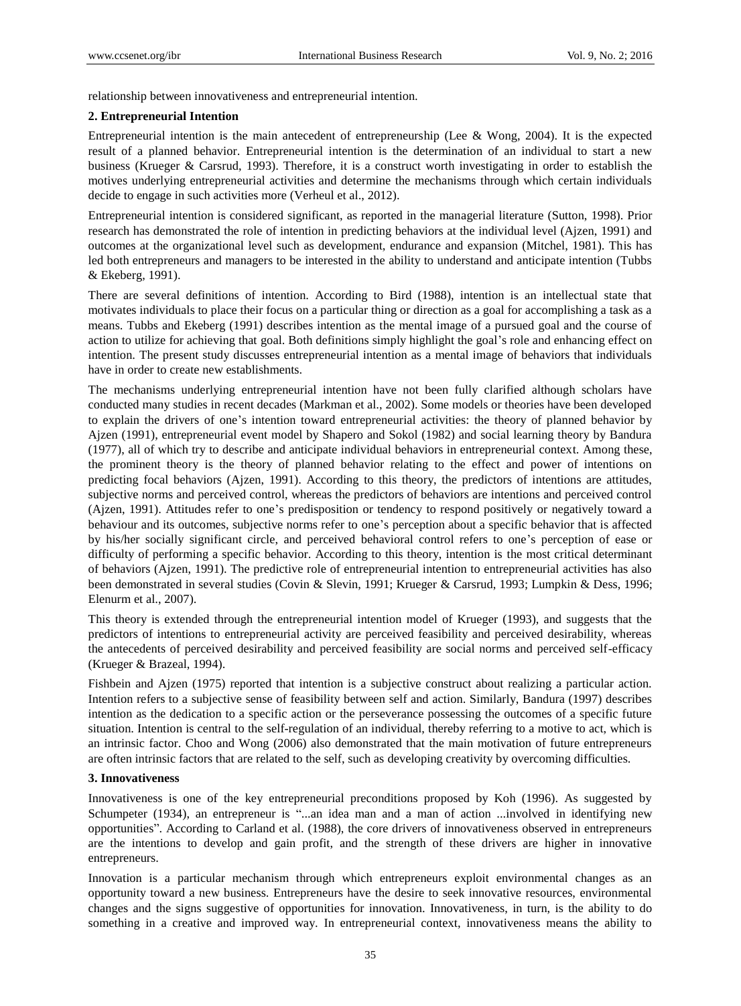relationship between innovativeness and entrepreneurial intention.

#### **2. Entrepreneurial Intention**

Entrepreneurial intention is the main antecedent of entrepreneurship (Lee & Wong, 2004). It is the expected result of a planned behavior. Entrepreneurial intention is the determination of an individual to start a new business (Krueger & Carsrud, 1993). Therefore, it is a construct worth investigating in order to establish the motives underlying entrepreneurial activities and determine the mechanisms through which certain individuals decide to engage in such activities more (Verheul et al., 2012).

Entrepreneurial intention is considered significant, as reported in the managerial literature (Sutton, 1998). Prior research has demonstrated the role of intention in predicting behaviors at the individual level (Ajzen, 1991) and outcomes at the organizational level such as development, endurance and expansion (Mitchel, 1981). This has led both entrepreneurs and managers to be interested in the ability to understand and anticipate intention (Tubbs & Ekeberg, 1991).

There are several definitions of intention. According to Bird (1988), intention is an intellectual state that motivates individuals to place their focus on a particular thing or direction as a goal for accomplishing a task as a means. Tubbs and Ekeberg (1991) describes intention as the mental image of a pursued goal and the course of action to utilize for achieving that goal. Both definitions simply highlight the goal's role and enhancing effect on intention. The present study discusses entrepreneurial intention as a mental image of behaviors that individuals have in order to create new establishments.

The mechanisms underlying entrepreneurial intention have not been fully clarified although scholars have conducted many studies in recent decades (Markman et al., 2002). Some models or theories have been developed to explain the drivers of one's intention toward entrepreneurial activities: the theory of planned behavior by Ajzen (1991), entrepreneurial event model by Shapero and Sokol (1982) and social learning theory by Bandura (1977), all of which try to describe and anticipate individual behaviors in entrepreneurial context. Among these, the prominent theory is the theory of planned behavior relating to the effect and power of intentions on predicting focal behaviors (Ajzen, 1991). According to this theory, the predictors of intentions are attitudes, subjective norms and perceived control, whereas the predictors of behaviors are intentions and perceived control (Ajzen, 1991). Attitudes refer to one's predisposition or tendency to respond positively or negatively toward a behaviour and its outcomes, subjective norms refer to one's perception about a specific behavior that is affected by his/her socially significant circle, and perceived behavioral control refers to one's perception of ease or difficulty of performing a specific behavior. According to this theory, intention is the most critical determinant of behaviors (Ajzen, 1991). The predictive role of entrepreneurial intention to entrepreneurial activities has also been demonstrated in several studies (Covin & Slevin, 1991; Krueger & Carsrud, 1993; Lumpkin & Dess, 1996; Elenurm et al., 2007).

This theory is extended through the entrepreneurial intention model of Krueger (1993), and suggests that the predictors of intentions to entrepreneurial activity are perceived feasibility and perceived desirability, whereas the antecedents of perceived desirability and perceived feasibility are social norms and perceived self-efficacy (Krueger & Brazeal, 1994).

Fishbein and Ajzen (1975) reported that intention is a subjective construct about realizing a particular action. Intention refers to a subjective sense of feasibility between self and action. Similarly, Bandura (1997) describes intention as the dedication to a specific action or the perseverance possessing the outcomes of a specific future situation. Intention is central to the self-regulation of an individual, thereby referring to a motive to act, which is an intrinsic factor. Choo and Wong (2006) also demonstrated that the main motivation of future entrepreneurs are often intrinsic factors that are related to the self, such as developing creativity by overcoming difficulties.

### **3. Innovativeness**

Innovativeness is one of the key entrepreneurial preconditions proposed by Koh (1996). As suggested by Schumpeter (1934), an entrepreneur is "...an idea man and a man of action ...involved in identifying new opportunities". According to Carland et al. (1988), the core drivers of innovativeness observed in entrepreneurs are the intentions to develop and gain profit, and the strength of these drivers are higher in innovative entrepreneurs.

Innovation is a particular mechanism through which entrepreneurs exploit environmental changes as an opportunity toward a new business. Entrepreneurs have the desire to seek innovative resources, environmental changes and the signs suggestive of opportunities for innovation. Innovativeness, in turn, is the ability to do something in a creative and improved way. In entrepreneurial context, innovativeness means the ability to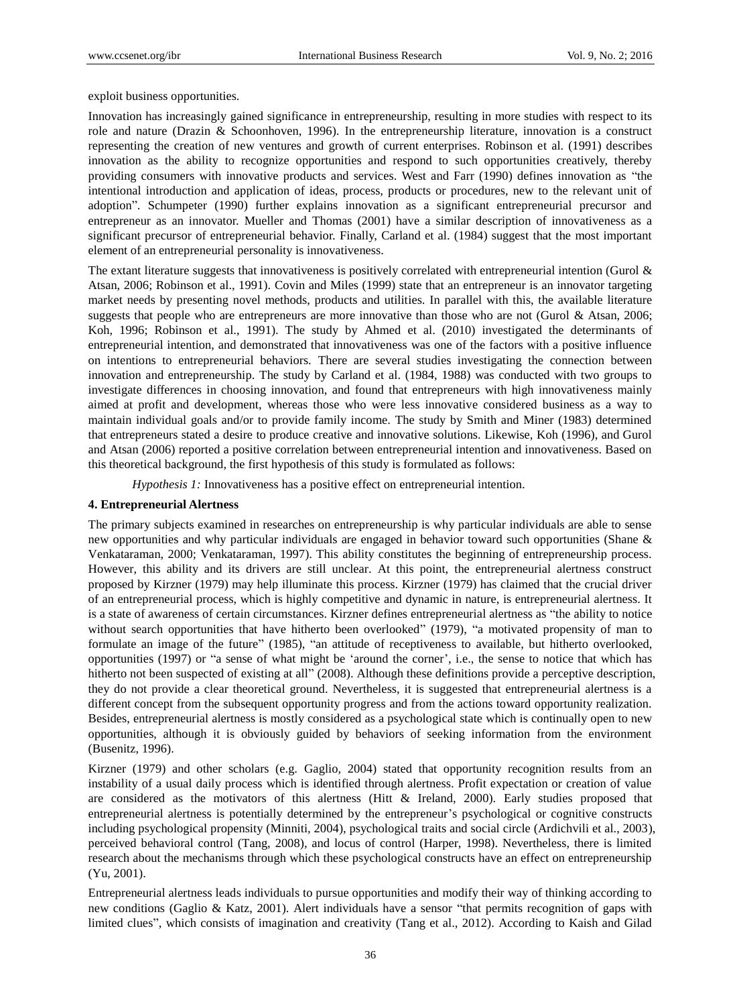exploit business opportunities.

Innovation has increasingly gained significance in entrepreneurship, resulting in more studies with respect to its role and nature (Drazin & Schoonhoven, 1996). In the entrepreneurship literature, innovation is a construct representing the creation of new ventures and growth of current enterprises. Robinson et al. (1991) describes innovation as the ability to recognize opportunities and respond to such opportunities creatively, thereby providing consumers with innovative products and services. West and Farr (1990) defines innovation as "the intentional introduction and application of ideas, process, products or procedures, new to the relevant unit of adoption". Schumpeter (1990) further explains innovation as a significant entrepreneurial precursor and entrepreneur as an innovator. Mueller and Thomas (2001) have a similar description of innovativeness as a significant precursor of entrepreneurial behavior. Finally, Carland et al. (1984) suggest that the most important element of an entrepreneurial personality is innovativeness.

The extant literature suggests that innovativeness is positively correlated with entrepreneurial intention (Gurol  $\&$ Atsan, 2006; Robinson et al., 1991). Covin and Miles (1999) state that an entrepreneur is an innovator targeting market needs by presenting novel methods, products and utilities. In parallel with this, the available literature suggests that people who are entrepreneurs are more innovative than those who are not (Gurol & Atsan, 2006; Koh, 1996; Robinson et al., 1991). The study by Ahmed et al. (2010) investigated the determinants of entrepreneurial intention, and demonstrated that innovativeness was one of the factors with a positive influence on intentions to entrepreneurial behaviors. There are several studies investigating the connection between innovation and entrepreneurship. The study by Carland et al. (1984, 1988) was conducted with two groups to investigate differences in choosing innovation, and found that entrepreneurs with high innovativeness mainly aimed at profit and development, whereas those who were less innovative considered business as a way to maintain individual goals and/or to provide family income. The study by Smith and Miner (1983) determined that entrepreneurs stated a desire to produce creative and innovative solutions. Likewise, Koh (1996), and Gurol and Atsan (2006) reported a positive correlation between entrepreneurial intention and innovativeness. Based on this theoretical background, the first hypothesis of this study is formulated as follows:

*Hypothesis 1:* Innovativeness has a positive effect on entrepreneurial intention.

## **4. Entrepreneurial Alertness**

The primary subjects examined in researches on entrepreneurship is why particular individuals are able to sense new opportunities and why particular individuals are engaged in behavior toward such opportunities (Shane & Venkataraman, 2000; Venkataraman, 1997). This ability constitutes the beginning of entrepreneurship process. However, this ability and its drivers are still unclear. At this point, the entrepreneurial alertness construct proposed by Kirzner (1979) may help illuminate this process. Kirzner (1979) has claimed that the crucial driver of an entrepreneurial process, which is highly competitive and dynamic in nature, is entrepreneurial alertness. It is a state of awareness of certain circumstances. Kirzner defines entrepreneurial alertness as "the ability to notice without search opportunities that have hitherto been overlooked" (1979), "a motivated propensity of man to formulate an image of the future" (1985), "an attitude of receptiveness to available, but hitherto overlooked, opportunities (1997) or "a sense of what might be 'around the corner', i.e., the sense to notice that which has hitherto not been suspected of existing at all" (2008). Although these definitions provide a perceptive description, they do not provide a clear theoretical ground. Nevertheless, it is suggested that entrepreneurial alertness is a different concept from the subsequent opportunity progress and from the actions toward opportunity realization. Besides, entrepreneurial alertness is mostly considered as a psychological state which is continually open to new opportunities, although it is obviously guided by behaviors of seeking information from the environment (Busenitz, 1996).

Kirzner (1979) and other scholars (e.g. Gaglio, 2004) stated that opportunity recognition results from an instability of a usual daily process which is identified through alertness. Profit expectation or creation of value are considered as the motivators of this alertness (Hitt  $\&$  Ireland, 2000). Early studies proposed that entrepreneurial alertness is potentially determined by the entrepreneur's psychological or cognitive constructs including psychological propensity (Minniti, 2004), psychological traits and social circle (Ardichvili et al., 2003), perceived behavioral control (Tang, 2008), and locus of control (Harper, 1998). Nevertheless, there is limited research about the mechanisms through which these psychological constructs have an effect on entrepreneurship (Yu, 2001).

Entrepreneurial alertness leads individuals to pursue opportunities and modify their way of thinking according to new conditions (Gaglio & Katz, 2001). Alert individuals have a sensor "that permits recognition of gaps with limited clues", which consists of imagination and creativity (Tang et al., 2012). According to Kaish and Gilad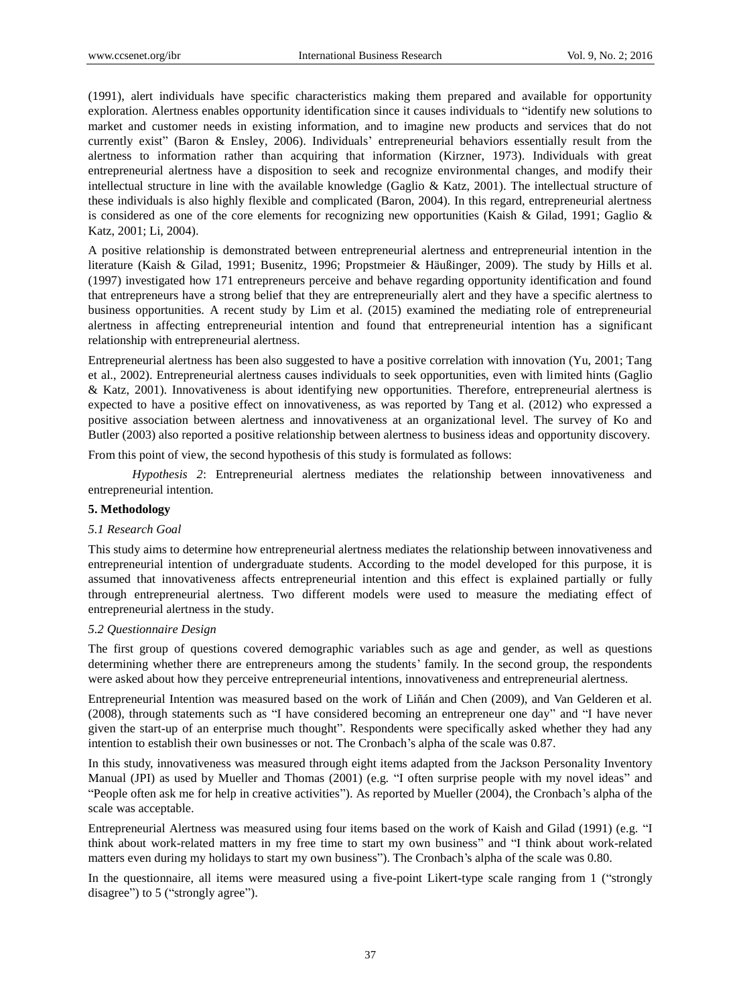(1991), alert individuals have specific characteristics making them prepared and available for opportunity exploration. Alertness enables opportunity identification since it causes individuals to "identify new solutions to market and customer needs in existing information, and to imagine new products and services that do not currently exist" (Baron & Ensley, 2006). Individuals' entrepreneurial behaviors essentially result from the alertness to information rather than acquiring that information (Kirzner, 1973). Individuals with great entrepreneurial alertness have a disposition to seek and recognize environmental changes, and modify their intellectual structure in line with the available knowledge (Gaglio & Katz, 2001). The intellectual structure of these individuals is also highly flexible and complicated (Baron, 2004). In this regard, entrepreneurial alertness is considered as one of the core elements for recognizing new opportunities (Kaish & Gilad, 1991; Gaglio & Katz, 2001; Li, 2004).

A positive relationship is demonstrated between entrepreneurial alertness and entrepreneurial intention in the literature (Kaish & Gilad, 1991; Busenitz, 1996; Propstmeier & Häußinger, 2009). The study by Hills et al. (1997) investigated how 171 entrepreneurs perceive and behave regarding opportunity identification and found that entrepreneurs have a strong belief that they are entrepreneurially alert and they have a specific alertness to business opportunities. A recent study by Lim et al. (2015) examined the mediating role of entrepreneurial alertness in affecting entrepreneurial intention and found that entrepreneurial intention has a significant relationship with entrepreneurial alertness.

Entrepreneurial alertness has been also suggested to have a positive correlation with innovation (Yu, 2001; Tang et al., 2002). Entrepreneurial alertness causes individuals to seek opportunities, even with limited hints (Gaglio & Katz, 2001). Innovativeness is about identifying new opportunities. Therefore, entrepreneurial alertness is expected to have a positive effect on innovativeness, as was reported by Tang et al. (2012) who expressed a positive association between alertness and innovativeness at an organizational level. The survey of Ko and Butler (2003) also reported a positive relationship between alertness to business ideas and opportunity discovery.

From this point of view, the second hypothesis of this study is formulated as follows:

*Hypothesis 2*: Entrepreneurial alertness mediates the relationship between innovativeness and entrepreneurial intention.

## **5. Methodology**

## *5.1 Research Goal*

This study aims to determine how entrepreneurial alertness mediates the relationship between innovativeness and entrepreneurial intention of undergraduate students. According to the model developed for this purpose, it is assumed that innovativeness affects entrepreneurial intention and this effect is explained partially or fully through entrepreneurial alertness. Two different models were used to measure the mediating effect of entrepreneurial alertness in the study.

## *5.2 Questionnaire Design*

The first group of questions covered demographic variables such as age and gender, as well as questions determining whether there are entrepreneurs among the students' family. In the second group, the respondents were asked about how they perceive entrepreneurial intentions, innovativeness and entrepreneurial alertness.

Entrepreneurial Intention was measured based on the work of Liñán and Chen (2009), and Van Gelderen et al. (2008), through statements such as "I have considered becoming an entrepreneur one day" and "I have never given the start-up of an enterprise much thought". Respondents were specifically asked whether they had any intention to establish their own businesses or not. The Cronbach's alpha of the scale was 0.87.

In this study, innovativeness was measured through eight items adapted from the Jackson Personality Inventory Manual (JPI) as used by Mueller and Thomas (2001) (e.g. "I often surprise people with my novel ideas" and "People often ask me for help in creative activities"). As reported by Mueller (2004), the Cronbach's alpha of the scale was acceptable.

Entrepreneurial Alertness was measured using four items based on the work of Kaish and Gilad (1991) (e.g. "I think about work-related matters in my free time to start my own business" and "I think about work-related matters even during my holidays to start my own business"). The Cronbach's alpha of the scale was 0.80.

In the questionnaire, all items were measured using a five-point Likert-type scale ranging from 1 ("strongly disagree") to 5 ("strongly agree").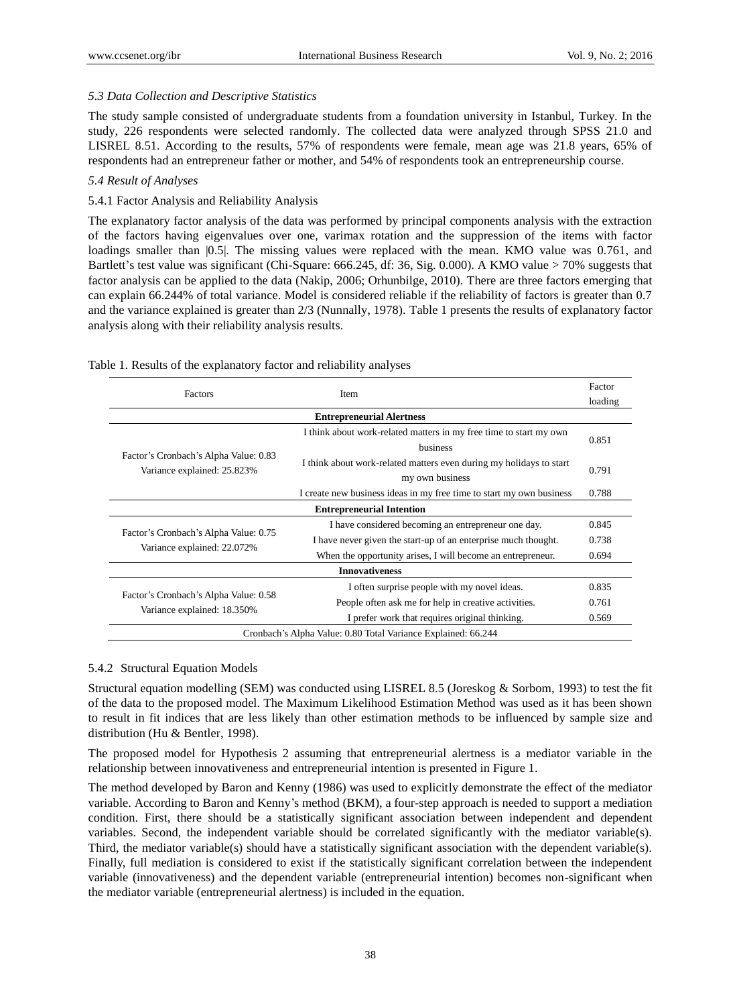# *5.3 Data Collection and Descriptive Statistics*

The study sample consisted of undergraduate students from a foundation university in Istanbul, Turkey. In the study, 226 respondents were selected randomly. The collected data were analyzed through SPSS 21.0 and LISREL 8.51. According to the results, 57% of respondents were female, mean age was 21.8 years, 65% of respondents had an entrepreneur father or mother, and 54% of respondents took an entrepreneurship course.

# *5.4 Result of Analyses*

# 5.4.1 Factor Analysis and Reliability Analysis

The explanatory factor analysis of the data was performed by principal components analysis with the extraction of the factors having eigenvalues over one, varimax rotation and the suppression of the items with factor loadings smaller than  $[0.5]$ . The missing values were replaced with the mean. KMO value was 0.761, and Bartlett's test value was significant (Chi-Square: 666.245, df: 36, Sig. 0.000). A KMO value > 70% suggests that factor analysis can be applied to the data (Nakip, 2006; Orhunbilge, 2010). There are three factors emerging that can explain 66.244% of total variance. Model is considered reliable if the reliability of factors is greater than 0.7 and the variance explained is greater than 2/3 (Nunnally, 1978). Table 1 presents the results of explanatory factor analysis along with their reliability analysis results*.* 

| <b>Factors</b>                                                       | Item                                                                                   | Factor<br>loading |  |  |
|----------------------------------------------------------------------|----------------------------------------------------------------------------------------|-------------------|--|--|
| <b>Entrepreneurial Alertness</b>                                     |                                                                                        |                   |  |  |
| Factor's Cronbach's Alpha Value: 0.83<br>Variance explained: 25.823% | I think about work-related matters in my free time to start my own<br>business         | 0.851             |  |  |
|                                                                      | I think about work-related matters even during my holidays to start<br>my own business |                   |  |  |
|                                                                      | I create new business ideas in my free time to start my own business                   | 0.788             |  |  |
| <b>Entrepreneurial Intention</b>                                     |                                                                                        |                   |  |  |
| Factor's Cronbach's Alpha Value: 0.75<br>Variance explained: 22.072% | I have considered becoming an entrepreneur one day.                                    | 0.845             |  |  |
|                                                                      | I have never given the start-up of an enterprise much thought.                         | 0.738             |  |  |
|                                                                      | When the opportunity arises, I will become an entrepreneur.                            | 0.694             |  |  |
| <b>Innovativeness</b>                                                |                                                                                        |                   |  |  |
| Factor's Cronbach's Alpha Value: 0.58<br>Variance explained: 18.350% | I often surprise people with my novel ideas.                                           | 0.835             |  |  |
|                                                                      | People often ask me for help in creative activities.                                   |                   |  |  |
|                                                                      | I prefer work that requires original thinking.                                         | 0.569             |  |  |
|                                                                      | Cronbach's Alpha Value: 0.80 Total Variance Explained: 66.244                          |                   |  |  |

Table 1. Results of the explanatory factor and reliability analyses

# 5.4.2 Structural Equation Models

Structural equation modelling (SEM) was conducted using LISREL 8.5 (Joreskog & Sorbom, 1993) to test the fit of the data to the proposed model. The Maximum Likelihood Estimation Method was used as it has been shown to result in fit indices that are less likely than other estimation methods to be influenced by sample size and distribution (Hu & Bentler, 1998).

The proposed model for Hypothesis 2 assuming that entrepreneurial alertness is a mediator variable in the relationship between innovativeness and entrepreneurial intention is presented in Figure 1.

The method developed by Baron and Kenny (1986) was used to explicitly demonstrate the effect of the mediator variable. According to Baron and Kenny's method (BKM), a four-step approach is needed to support a mediation condition. First, there should be a statistically significant association between independent and dependent variables. Second, the independent variable should be correlated significantly with the mediator variable(s). Third, the mediator variable(s) should have a statistically significant association with the dependent variable(s). Finally, full mediation is considered to exist if the statistically significant correlation between the independent variable (innovativeness) and the dependent variable (entrepreneurial intention) becomes non-significant when the mediator variable (entrepreneurial alertness) is included in the equation.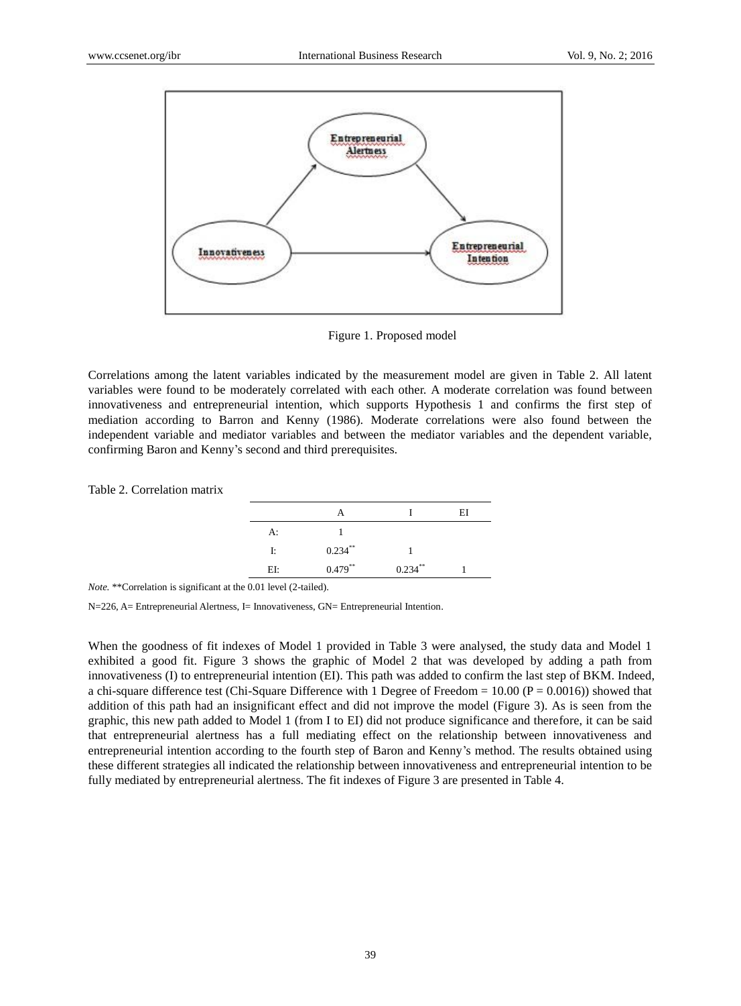

Figure 1. Proposed model

Correlations among the latent variables indicated by the measurement model are given in Table 2. All latent variables were found to be moderately correlated with each other. A moderate correlation was found between innovativeness and entrepreneurial intention, which supports Hypothesis 1 and confirms the first step of mediation according to Barron and Kenny (1986). Moderate correlations were also found between the independent variable and mediator variables and between the mediator variables and the dependent variable, confirming Baron and Kenny's second and third prerequisites.

## Table 2. Correlation matrix

|            | EI |
|------------|----|
|            |    |
|            |    |
| $0.234***$ |    |
|            |    |

*Note.* \*\*Correlation is significant at the 0.01 level (2-tailed).

N=226, A= Entrepreneurial Alertness, I= Innovativeness, GN= Entrepreneurial Intention.

When the goodness of fit indexes of Model 1 provided in Table 3 were analysed, the study data and Model 1 exhibited a good fit. Figure 3 shows the graphic of Model 2 that was developed by adding a path from innovativeness (I) to entrepreneurial intention (EI). This path was added to confirm the last step of BKM. Indeed, a chi-square difference test (Chi-Square Difference with 1 Degree of Freedom =  $10.00$  (P = 0.0016)) showed that addition of this path had an insignificant effect and did not improve the model (Figure 3). As is seen from the graphic, this new path added to Model 1 (from I to EI) did not produce significance and therefore, it can be said that entrepreneurial alertness has a full mediating effect on the relationship between innovativeness and entrepreneurial intention according to the fourth step of Baron and Kenny's method. The results obtained using these different strategies all indicated the relationship between innovativeness and entrepreneurial intention to be fully mediated by entrepreneurial alertness. The fit indexes of Figure 3 are presented in Table 4.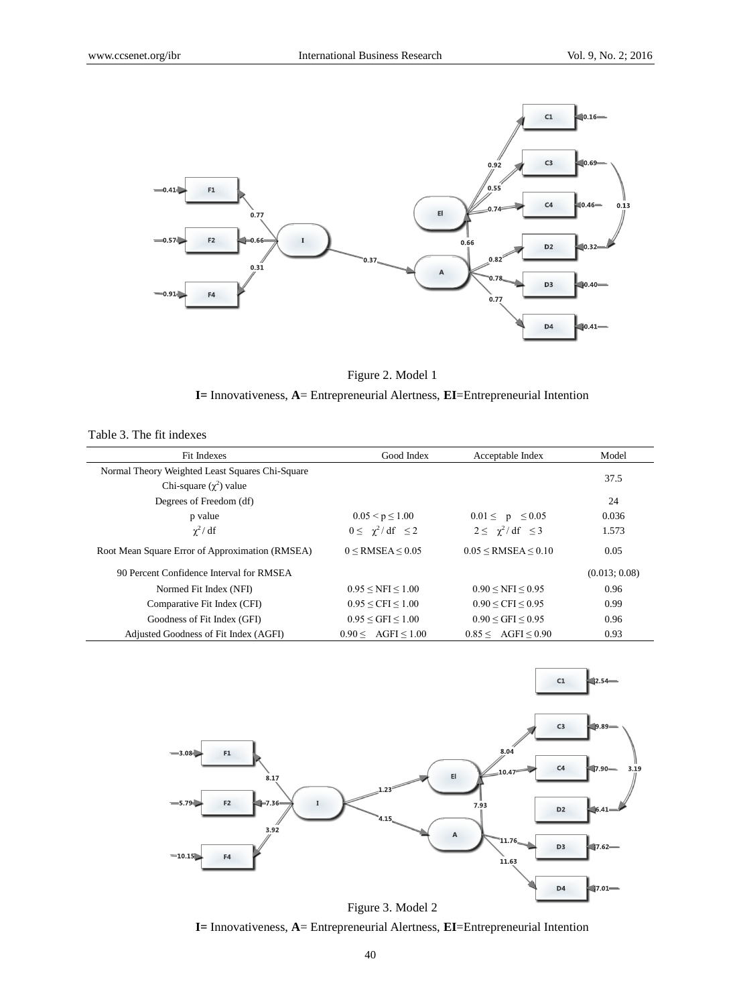

Figure 2. Model 1 **I=** Innovativeness, **A**= Entrepreneurial Alertness, **EI**=Entrepreneurial Intention

## Table 3. The fit indexes

| <b>Fit Indexes</b>                              | Good Index                 | Acceptable Index            | Model         |
|-------------------------------------------------|----------------------------|-----------------------------|---------------|
| Normal Theory Weighted Least Squares Chi-Square |                            |                             | 37.5          |
| Chi-square $(\gamma^2)$ value                   |                            |                             |               |
| Degrees of Freedom (df)                         |                            |                             | 24            |
| p value                                         | $0.05 < p \leq 1.00$       | $0.01 \le p \le 0.05$       | 0.036         |
| $\gamma^2$ / df                                 | $0 \leq \chi^2/df \leq 2$  | $2 \leq \chi^2/df \leq 3$   | 1.573         |
| Root Mean Square Error of Approximation (RMSEA) | $0 \leq$ RMSEA $\leq 0.05$ | $0.05 \leq RMSEA \leq 0.10$ | 0.05          |
| 90 Percent Confidence Interval for RMSEA        |                            |                             | (0.013; 0.08) |
| Normed Fit Index (NFI)                          | $0.95 \leq NFI \leq 1.00$  | $0.90 \leq NFI \leq 0.95$   | 0.96          |
| Comparative Fit Index (CFI)                     | $0.95 \leq CFI \leq 1.00$  | $0.90 \leq CFI \leq 0.95$   | 0.99          |
| Goodness of Fit Index (GFI)                     | $0.95 \leq GFI \leq 1.00$  | $0.90 \leq GFI \leq 0.95$   | 0.96          |
| Adjusted Goodness of Fit Index (AGFI)           | 0.90 < AGF1 < 1.00         | 0.85 < AGF1 < 0.90          | 0.93          |



**I=** Innovativeness, **A**= Entrepreneurial Alertness, **EI**=Entrepreneurial Intention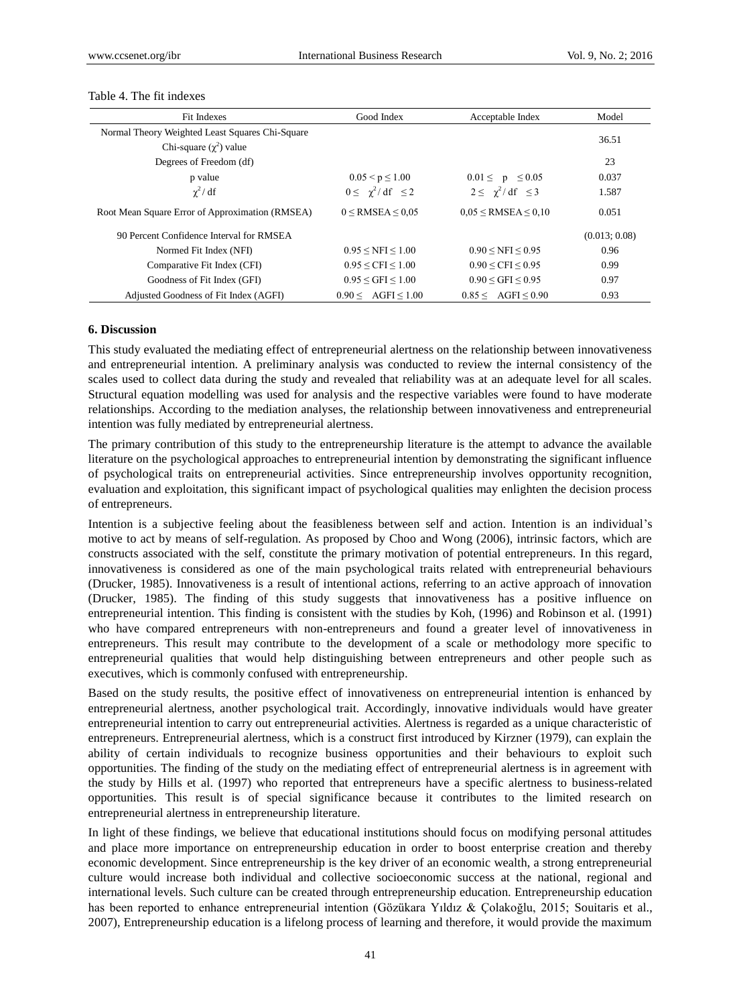| Fit Indexes                                     | Good Index                 | Acceptable Index              | Model         |
|-------------------------------------------------|----------------------------|-------------------------------|---------------|
| Normal Theory Weighted Least Squares Chi-Square |                            |                               | 36.51         |
| Chi-square $(\chi^2)$ value                     |                            |                               |               |
| Degrees of Freedom (df)                         |                            |                               | 23            |
| p value                                         | $0.05 < p \leq 1.00$       | $0.01 \le p \le 0.05$         | 0.037         |
| $\chi^2$ / df                                   | $0 \leq \chi^2/df \leq 2$  | $2 \leq \chi^2/df \leq 3$     | 1.587         |
| Root Mean Square Error of Approximation (RMSEA) | $0 \leq$ RMSEA $\leq 0.05$ | $0.05 \leq$ RMSEA $\leq 0.10$ | 0.051         |
| 90 Percent Confidence Interval for RMSEA        |                            |                               | (0.013; 0.08) |
| Normed Fit Index (NFI)                          | $0.95 \leq NFI \leq 1.00$  | $0.90 \leq NFI \leq 0.95$     | 0.96          |
| Comparative Fit Index (CFI)                     | $0.95 \leq CFI \leq 1.00$  | $0.90 \leq CFI \leq 0.95$     | 0.99          |
| Goodness of Fit Index (GFI)                     | $0.95 \leq GFI \leq 1.00$  | $0.90 \leq$ GFI $\leq 0.95$   | 0.97          |
| Adjusted Goodness of Fit Index (AGFI)           | 0.90 < AGFI < 1.00         | 0.85 < AGFI < 0.90            | 0.93          |

#### Table 4. The fit indexes

#### **6. Discussion**

This study evaluated the mediating effect of entrepreneurial alertness on the relationship between innovativeness and entrepreneurial intention. A preliminary analysis was conducted to review the internal consistency of the scales used to collect data during the study and revealed that reliability was at an adequate level for all scales. Structural equation modelling was used for analysis and the respective variables were found to have moderate relationships. According to the mediation analyses, the relationship between innovativeness and entrepreneurial intention was fully mediated by entrepreneurial alertness.

The primary contribution of this study to the entrepreneurship literature is the attempt to advance the available literature on the psychological approaches to entrepreneurial intention by demonstrating the significant influence of psychological traits on entrepreneurial activities. Since entrepreneurship involves opportunity recognition, evaluation and exploitation, this significant impact of psychological qualities may enlighten the decision process of entrepreneurs.

Intention is a subjective feeling about the feasibleness between self and action. Intention is an individual's motive to act by means of self-regulation. As proposed by Choo and Wong (2006), intrinsic factors, which are constructs associated with the self, constitute the primary motivation of potential entrepreneurs. In this regard, innovativeness is considered as one of the main psychological traits related with entrepreneurial behaviours (Drucker, 1985). Innovativeness is a result of intentional actions, referring to an active approach of innovation (Drucker, 1985). The finding of this study suggests that innovativeness has a positive influence on entrepreneurial intention. This finding is consistent with the studies by Koh, (1996) and Robinson et al. (1991) who have compared entrepreneurs with non-entrepreneurs and found a greater level of innovativeness in entrepreneurs. This result may contribute to the development of a scale or methodology more specific to entrepreneurial qualities that would help distinguishing between entrepreneurs and other people such as executives, which is commonly confused with entrepreneurship.

Based on the study results, the positive effect of innovativeness on entrepreneurial intention is enhanced by entrepreneurial alertness, another psychological trait. Accordingly, innovative individuals would have greater entrepreneurial intention to carry out entrepreneurial activities. Alertness is regarded as a unique characteristic of entrepreneurs. Entrepreneurial alertness, which is a construct first introduced by Kirzner (1979), can explain the ability of certain individuals to recognize business opportunities and their behaviours to exploit such opportunities. The finding of the study on the mediating effect of entrepreneurial alertness is in agreement with the study by Hills et al. (1997) who reported that entrepreneurs have a specific alertness to business-related opportunities. This result is of special significance because it contributes to the limited research on entrepreneurial alertness in entrepreneurship literature.

In light of these findings, we believe that educational institutions should focus on modifying personal attitudes and place more importance on entrepreneurship education in order to boost enterprise creation and thereby economic development. Since entrepreneurship is the key driver of an economic wealth, a strong entrepreneurial culture would increase both individual and collective socioeconomic success at the national, regional and international levels. Such culture can be created through entrepreneurship education. Entrepreneurship education has been reported to enhance entrepreneurial intention (Gözükara Yıldız & Çolakoğlu, 2015; Souitaris et al., 2007), Entrepreneurship education is a lifelong process of learning and therefore, it would provide the maximum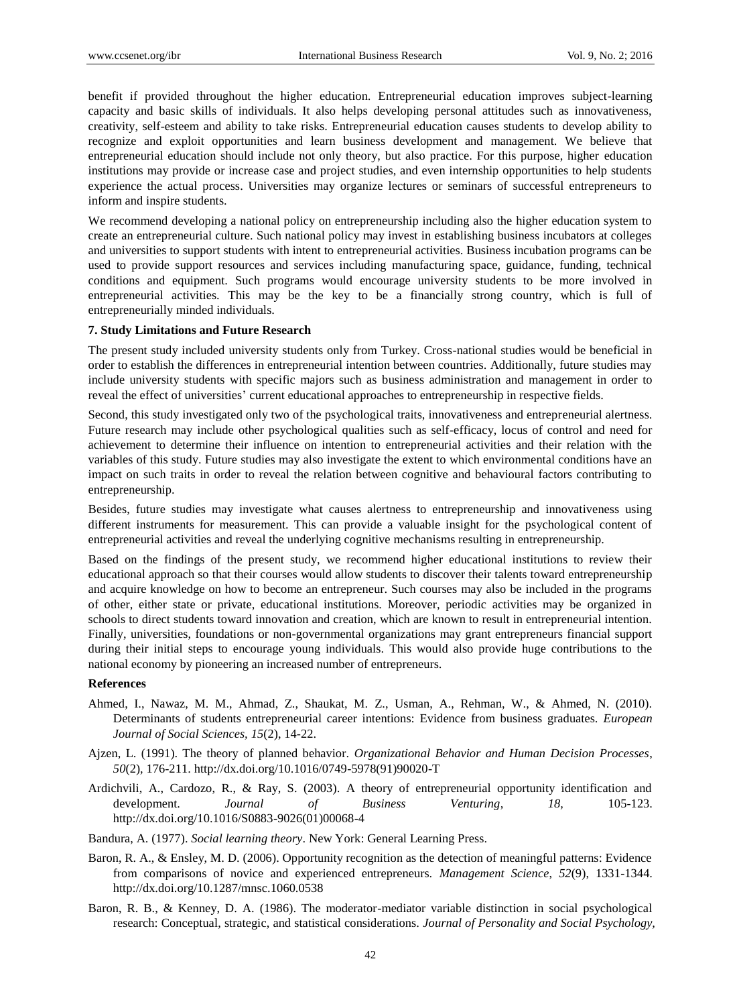benefit if provided throughout the higher education. Entrepreneurial education improves subject-learning capacity and basic skills of individuals. It also helps developing personal attitudes such as innovativeness, creativity, self-esteem and ability to take risks. Entrepreneurial education causes students to develop ability to recognize and exploit opportunities and learn business development and management. We believe that entrepreneurial education should include not only theory, but also practice. For this purpose, higher education institutions may provide or increase case and project studies, and even internship opportunities to help students experience the actual process. Universities may organize lectures or seminars of successful entrepreneurs to inform and inspire students.

We recommend developing a national policy on entrepreneurship including also the higher education system to create an entrepreneurial culture. Such national policy may invest in establishing business incubators at colleges and universities to support students with intent to entrepreneurial activities. Business incubation programs can be used to provide support resources and services including manufacturing space, guidance, funding, technical conditions and equipment. Such programs would encourage university students to be more involved in entrepreneurial activities. This may be the key to be a financially strong country, which is full of entrepreneurially minded individuals.

#### **7. Study Limitations and Future Research**

The present study included university students only from Turkey. Cross-national studies would be beneficial in order to establish the differences in entrepreneurial intention between countries. Additionally, future studies may include university students with specific majors such as business administration and management in order to reveal the effect of universities' current educational approaches to entrepreneurship in respective fields.

Second, this study investigated only two of the psychological traits, innovativeness and entrepreneurial alertness. Future research may include other psychological qualities such as self-efficacy, locus of control and need for achievement to determine their influence on intention to entrepreneurial activities and their relation with the variables of this study. Future studies may also investigate the extent to which environmental conditions have an impact on such traits in order to reveal the relation between cognitive and behavioural factors contributing to entrepreneurship.

Besides, future studies may investigate what causes alertness to entrepreneurship and innovativeness using different instruments for measurement. This can provide a valuable insight for the psychological content of entrepreneurial activities and reveal the underlying cognitive mechanisms resulting in entrepreneurship.

Based on the findings of the present study, we recommend higher educational institutions to review their educational approach so that their courses would allow students to discover their talents toward entrepreneurship and acquire knowledge on how to become an entrepreneur. Such courses may also be included in the programs of other, either state or private, educational institutions. Moreover, periodic activities may be organized in schools to direct students toward innovation and creation, which are known to result in entrepreneurial intention. Finally, universities, foundations or non-governmental organizations may grant entrepreneurs financial support during their initial steps to encourage young individuals. This would also provide huge contributions to the national economy by pioneering an increased number of entrepreneurs.

#### **References**

- Ahmed, I., Nawaz, M. M., Ahmad, Z., Shaukat, M. Z., Usman, A., Rehman, W., & Ahmed, N. (2010). Determinants of students entrepreneurial career intentions: Evidence from business graduates. *European Journal of Social Sciences, 15*(2), 14-22.
- Ajzen, L. (1991). The theory of planned behavior. *Organizational Behavior and Human Decision Processes*, *50*(2)*,* 176-211. http://dx.doi.org/10.1016/0749-5978(91)90020-T
- Ardichvili, A., Cardozo, R., & Ray, S. (2003). A theory of entrepreneurial opportunity identification and development. *Journal of Business Venturing*, *18,* 105-123. [http://dx.doi.org/10.1016/S0883-9026\(01\)00068-4](http://dx.doi.org/10.1016/S0883-9026(01)00068-4)
- Bandura, A. (1977). *Social learning theory*. New York: General Learning Press.
- Baron, R. A., & Ensley, M. D. (2006). Opportunity recognition as the detection of meaningful patterns: Evidence from comparisons of novice and experienced entrepreneurs. *Management Science*, *52*(9), 1331-1344. <http://dx.doi.org/10.1287/mnsc.1060.0538>
- Baron, R. B., & Kenney, D. A. (1986). The moderator-mediator variable distinction in social psychological research: Conceptual, strategic, and statistical considerations. *Journal of Personality and Social Psychology,*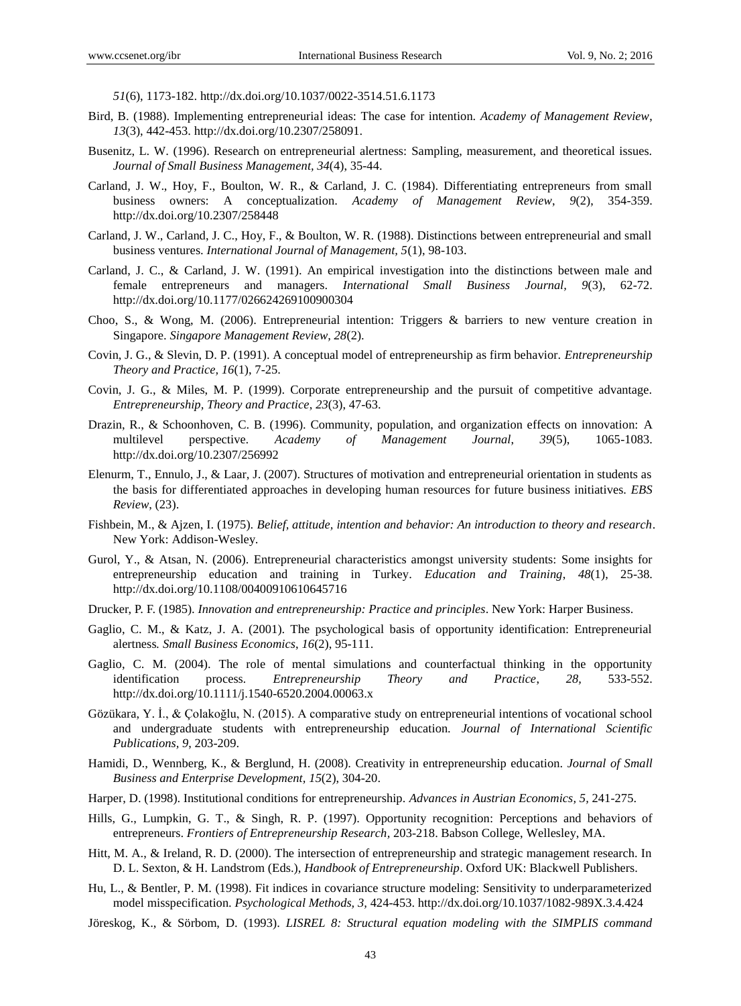*51*(6), 1173-182. http://dx.doi.org/10.1037/0022-3514.51.6.1173

- Bird, B. (1988). Implementing entrepreneurial ideas: The case for intention. *Academy of Management Review*, *13*(3), 442-453. http://dx.doi.org/10.2307/258091.
- Busenitz, L. W. (1996). Research on entrepreneurial alertness: Sampling, measurement, and theoretical issues. *Journal of Small Business Management, 34*(4), 35-44.
- Carland, J. W., Hoy, F., Boulton, W. R., & Carland, J. C. (1984). Differentiating entrepreneurs from small business owners: A conceptualization. *Academy of Management Review*, *9*(2), 354-359. http://dx.doi.org/10.2307/258448
- Carland, J. W., Carland, J. C., Hoy, F., & Boulton, W. R. (1988). Distinctions between entrepreneurial and small business ventures. *International Journal of Management, 5*(1), 98-103.
- Carland, J. C., & Carland, J. W. (1991). An empirical investigation into the distinctions between male and female entrepreneurs and managers. *International Small Business Journal, 9*(3), 62-72. http://dx.doi.org/10.1177/026624269100900304
- Choo, S., & Wong, M. (2006). Entrepreneurial intention: Triggers & barriers to new venture creation in Singapore. *Singapore Management Review, 28*(2).
- Covin, J. G., & Slevin, D. P. (1991). A conceptual model of entrepreneurship as firm behavior. *Entrepreneurship Theory and Practice, 16*(1), 7-25.
- Covin, J. G., & Miles, M. P. (1999). Corporate entrepreneurship and the pursuit of competitive advantage. *Entrepreneurship, Theory and Practice*, *23*(3), 47-63.
- Drazin, R., & Schoonhoven, C. B. (1996). Community, population, and organization effects on innovation: A multilevel perspective*. Academy of Management Journal*, *39*(5), 1065-1083. http://dx.doi.org/10.2307/256992
- Elenurm, T., Ennulo, J., & Laar, J. (2007). Structures of motivation and entrepreneurial orientation in students as the basis for differentiated approaches in developing human resources for future business initiatives. *EBS Review*, (23).
- Fishbein, M., & Ajzen, I. (1975). *Belief, attitude, intention and behavior: An introduction to theory and research*. New York: Addison-Wesley.
- Gurol, Y., & Atsan, N. (2006). Entrepreneurial characteristics amongst university students: Some insights for entrepreneurship education and training in Turkey. *Education and Training*, *48*(1), 25-38. http://dx.doi.org/10.1108/00400910610645716
- Drucker, P. F. (1985). *Innovation and entrepreneurship: Practice and principles*. New York: Harper Business.
- Gaglio, C. M., & Katz, J. A. (2001). The psychological basis of opportunity identification: Entrepreneurial alertness*. Small Business Economics*, *16*(2), 95-111.
- Gaglio, C. M. (2004). The role of mental simulations and counterfactual thinking in the opportunity identification process*. Entrepreneurship Theory and Practice*, *28,* 533-552. http://dx.doi.org/10.1111/j.1540-6520.2004.00063.x
- Gözükara, Y. İ., & Çolakoğlu, N. (2015). A comparative study on entrepreneurial intentions of vocational school and undergraduate students with entrepreneurship education. *Journal of International Scientific Publications, 9*, 203-209.
- Hamidi, D., Wennberg, K., & Berglund, H. (2008). Creativity in entrepreneurship education. *Journal of Small Business and Enterprise Development, 15*(2), 304-20.
- Harper, D. (1998). Institutional conditions for entrepreneurship. *Advances in Austrian Economics, 5,* 241-275.
- Hills, G., Lumpkin, G. T., & Singh, R. P. (1997). Opportunity recognition: Perceptions and behaviors of entrepreneurs. *Frontiers of Entrepreneurship Research,* 203-218. Babson College, Wellesley, MA.
- Hitt, M. A., & Ireland, R. D. (2000). The intersection of entrepreneurship and strategic management research. In D. L. Sexton, & H. Landstrom (Eds.), *Handbook of Entrepreneurship*. Oxford UK: Blackwell Publishers.
- Hu, L., & Bentler, P. M. (1998). Fit indices in covariance structure modeling: Sensitivity to underparameterized model misspecification. *Psychological Methods, 3,* 424-453. http://dx.doi.org/10.1037/1082-989X.3.4.424
- Jöreskog, K., & Sörbom, D. (1993). *LISREL 8: Structural equation modeling with the SIMPLIS command*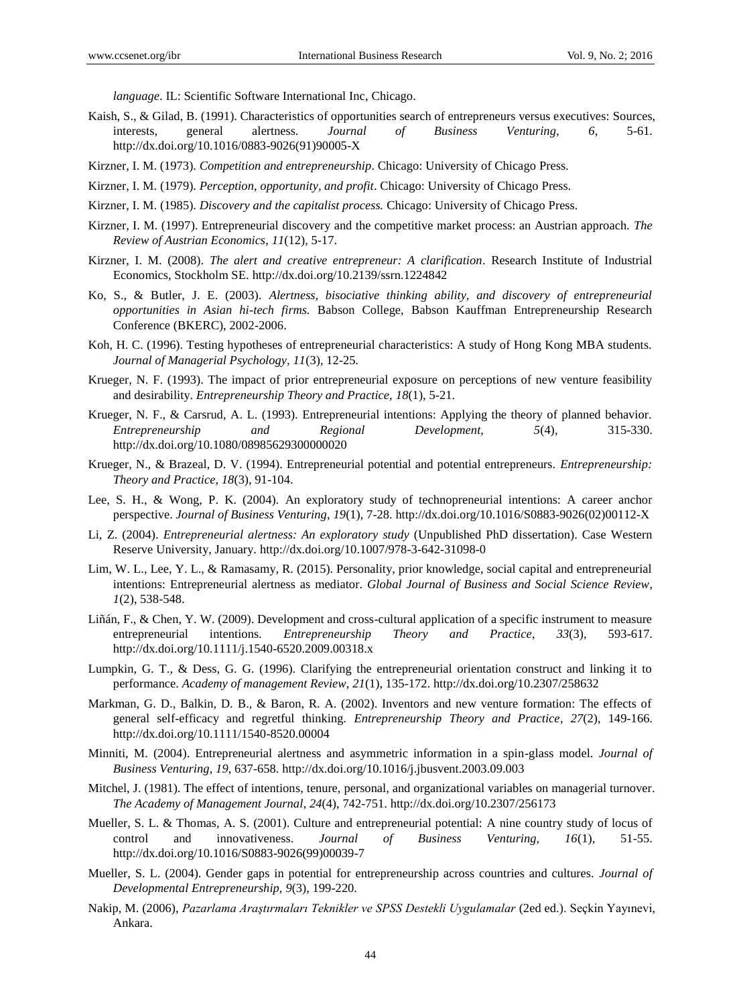*language*. IL: Scientific Software International Inc, Chicago.

- Kaish, S., & Gilad, B. (1991). Characteristics of opportunities search of entrepreneurs versus executives: Sources, interests, general alertness. *Journal of Business Venturing, 6*, 5-61. http://dx.doi.org/10.1016/0883-9026(91)90005-X
- Kirzner, I. M. (1973). *Competition and entrepreneurship*. Chicago: University of Chicago Press.
- Kirzner, I. M. (1979). *Perception, opportunity, and profit*. Chicago: University of Chicago Press.
- Kirzner, I. M. (1985). *Discovery and the capitalist process.* Chicago: University of Chicago Press.
- Kirzner, I. M. (1997). Entrepreneurial discovery and the competitive market process: an Austrian approach. *The Review of Austrian Economics*, *11*(12), 5-17.
- Kirzner, I. M. (2008). *The alert and creative entrepreneur: A clarification*. Research Institute of Industrial Economics, Stockholm SE. http://dx.doi.org/10.2139/ssrn.1224842
- Ko, S., & Butler, J. E. (2003). *Alertness, bisociative thinking ability, and discovery of entrepreneurial opportunities in Asian hi-tech firms.* Babson College, Babson Kauffman Entrepreneurship Research Conference (BKERC), 2002-2006.
- Koh, H. C. (1996). Testing hypotheses of entrepreneurial characteristics: A study of Hong Kong MBA students. *Journal of Managerial Psychology, 11*(3), 12-25*.*
- Krueger, N. F. (1993). The impact of prior entrepreneurial exposure on perceptions of new venture feasibility and desirability. *Entrepreneurship Theory and Practice, 18*(1), 5-21.
- Krueger, N. F., & Carsrud, A. L. (1993). Entrepreneurial intentions: Applying the theory of planned behavior. *Entrepreneurship and Regional Development, 5*(4)*,* 315-330. http://dx.doi.org/10.1080/08985629300000020
- Krueger, N., & Brazeal, D. V. (1994). Entrepreneurial potential and potential entrepreneurs. *Entrepreneurship: Theory and Practice, 18*(3), 91-104.
- Lee, S. H., & Wong, P. K. (2004). An exploratory study of technopreneurial intentions: A career anchor perspective. *Journal of Business Venturing*, *19*(1), 7-28. http://dx.doi.org/10.1016/S0883-9026(02)00112-X
- Li, Z. (2004). *Entrepreneurial alertness: An exploratory study* (Unpublished PhD dissertation). Case Western Reserve University, January. http://dx.doi.org/10.1007/978-3-642-31098-0
- Lim, W. L., Lee, Y. L., & Ramasamy, R. (2015). Personality, prior knowledge, social capital and entrepreneurial intentions: Entrepreneurial alertness as mediator. *Global Journal of Business and Social Science Review*, *1*(2), 538-548.
- Liñán, F., & Chen, Y. W. (2009). Development and cross-cultural application of a specific instrument to measure entrepreneurial intentions. *Entrepreneurship Theory and Practice*, *33*(3), 593-617. http://dx.doi.org/10.1111/j.1540-6520.2009.00318.x
- Lumpkin, G. T., & Dess, G. G. (1996). Clarifying the entrepreneurial orientation construct and linking it to performance. *Academy of management Review*, *21*(1), 135-172. http://dx.doi.org/10.2307/258632
- Markman, G. D., Balkin, D. B., & Baron, R. A. (2002). Inventors and new venture formation: The effects of general self-efficacy and regretful thinking. *Entrepreneurship Theory and Practice*, *27*(2), 149-166. http://dx.doi.org/10.1111/1540-8520.00004
- Minniti, M. (2004). Entrepreneurial alertness and asymmetric information in a spin-glass model. *Journal of Business Venturing*, *19*, 637-658. http://dx.doi.org/10.1016/j.jbusvent.2003.09.003
- Mitchel, J. (1981). The effect of intentions, tenure, personal, and organizational variables on managerial turnover. *The Academy of Management Journal*, *24*(4), 742-751. http://dx.doi.org/10.2307/256173
- Mueller, S. L. & Thomas, A. S. (2001). Culture and entrepreneurial potential: A nine country study of locus of control and innovativeness. *Journal of Business Venturing, 16*(1), 51-55. http://dx.doi.org/10.1016/S0883-9026(99)00039-7
- Mueller, S. L. (2004). Gender gaps in potential for entrepreneurship across countries and cultures. *Journal of Developmental Entrepreneurship, 9*(3), 199-220.
- Nakip, M. (2006), *Pazarlama Araştırmaları Teknikler ve SPSS Destekli Uygulamalar* (2ed ed.). Seçkin Yayınevi, Ankara.